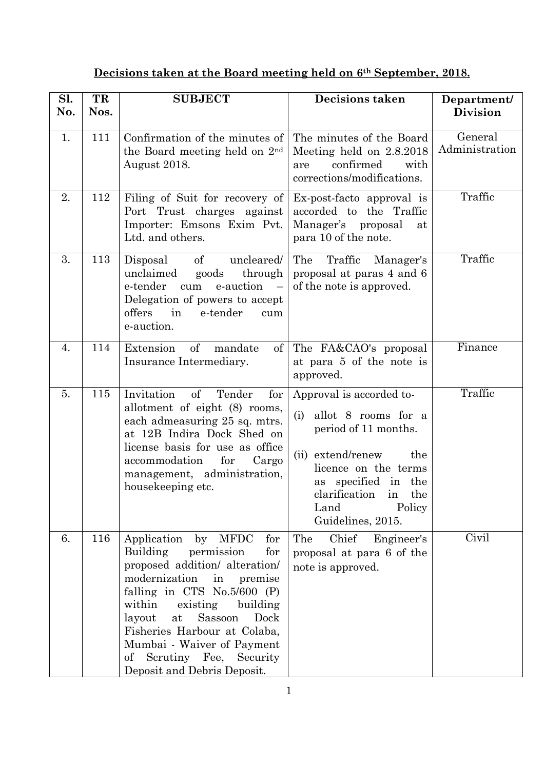## **Decisions taken at the Board meeting held on 6th September, 2018.**

| Sl.<br>No. | TR<br>Nos. | <b>SUBJECT</b>                                                                                                                                                                                                                                                                                                                                         | <b>Decisions taken</b>                                                                                                                                                                                                      | Department/<br><b>Division</b> |
|------------|------------|--------------------------------------------------------------------------------------------------------------------------------------------------------------------------------------------------------------------------------------------------------------------------------------------------------------------------------------------------------|-----------------------------------------------------------------------------------------------------------------------------------------------------------------------------------------------------------------------------|--------------------------------|
| 1.         | 111        | Confirmation of the minutes of<br>the Board meeting held on 2 <sup>nd</sup><br>August 2018.                                                                                                                                                                                                                                                            | The minutes of the Board<br>Meeting held on 2.8.2018<br>confirmed<br>with<br>are<br>corrections/modifications.                                                                                                              | General<br>Administration      |
| 2.         | 112        | Filing of Suit for recovery of<br>Port Trust charges against<br>Importer: Emsons Exim Pvt.<br>Ltd. and others.                                                                                                                                                                                                                                         | Ex-post-facto approval is<br>accorded to the Traffic<br>Manager's proposal<br>at<br>para 10 of the note.                                                                                                                    | Traffic                        |
| 3.         | 113        | of<br>uncleared/<br>Disposal<br>unclaimed<br>through<br>goods<br>e-tender<br>cum<br>$e$ -auction $-$<br>Delegation of powers to accept<br>offers<br>e-tender<br>in<br>cum<br>e-auction.                                                                                                                                                                | The<br>Traffic<br>Manager's<br>proposal at paras 4 and 6<br>of the note is approved.                                                                                                                                        | Traffic                        |
| 4.         | 114        | <sub>of</sub><br>Extension<br>of<br>mandate<br>Insurance Intermediary.                                                                                                                                                                                                                                                                                 | The FA&CAO's proposal<br>at para 5 of the note is<br>approved.                                                                                                                                                              | Finance                        |
| 5.         | 115        | Invitation<br>of<br>Tender<br>for<br>allotment of eight (8) rooms,<br>each admeasuring 25 sq. mtrs.<br>at 12B Indira Dock Shed on<br>license basis for use as office<br>for<br>accommodation<br>Cargo<br>management, administration,<br>housekeeping etc.                                                                                              | Approval is accorded to-<br>(i)<br>allot 8 rooms for a<br>period of 11 months.<br>(ii) extend/renew<br>the<br>licence on the terms<br>specified in the<br>as<br>clarification in the<br>Policy<br>Land<br>Guidelines, 2015. | Traffic                        |
| 6.         | 116        | Application by MFDC<br>for<br>Building<br>permission<br>for<br>proposed addition/ alteration/<br>modernization in premise<br>falling in $CTS$ No.5/600 (P)<br>within existing<br>building<br>Sassoon<br>Dock<br>layout<br>at<br>Fisheries Harbour at Colaba,<br>Mumbai - Waiver of Payment<br>of Scrutiny Fee, Security<br>Deposit and Debris Deposit. | The<br>Chief Engineer's<br>proposal at para 6 of the<br>note is approved.                                                                                                                                                   | Civil                          |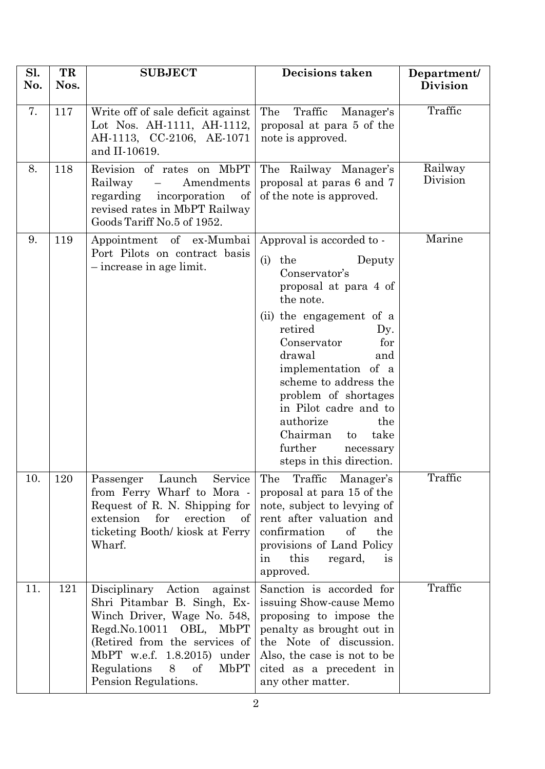| Sl.<br>No. | TR<br>Nos. | <b>SUBJECT</b>                                                                                                                                                                                                                                     | <b>Decisions taken</b>                                                                                                                                                                                                                                                                                                                                                                                     | Department/<br><b>Division</b> |
|------------|------------|----------------------------------------------------------------------------------------------------------------------------------------------------------------------------------------------------------------------------------------------------|------------------------------------------------------------------------------------------------------------------------------------------------------------------------------------------------------------------------------------------------------------------------------------------------------------------------------------------------------------------------------------------------------------|--------------------------------|
| 7.         | 117        | Write off of sale deficit against<br>Lot Nos. AH-1111, AH-1112,<br>AH-1113, CC-2106, AE-1071<br>and II-10619.                                                                                                                                      | Traffic<br>The<br>Manager's<br>proposal at para 5 of the<br>note is approved.                                                                                                                                                                                                                                                                                                                              | Traffic                        |
| 8.         | 118        | Revision of rates on MbPT<br>Amendments<br>Railway<br>regarding<br>incorporation<br>of<br>revised rates in MbPT Railway<br>Goods Tariff No.5 of 1952.                                                                                              | The Railway Manager's<br>proposal at paras 6 and 7<br>of the note is approved.                                                                                                                                                                                                                                                                                                                             | Railway<br>Division            |
| 9.         | 119        | Appointment of ex-Mumbai<br>Port Pilots on contract basis<br>- increase in age limit.                                                                                                                                                              | Approval is accorded to -<br>$(i)$ the<br>Deputy<br>Conservator's<br>proposal at para 4 of<br>the note.<br>(ii) the engagement of a<br>retired<br>Dy.<br>Conservator<br>for<br>drawal<br>and<br>implementation of a<br>scheme to address the<br>problem of shortages<br>in Pilot cadre and to<br>authorize<br>the<br>Chairman<br>take<br>$\mathbf{to}$<br>further<br>necessary<br>steps in this direction. | Marine                         |
| 10.        | 120        | Passenger<br>Launch<br>Service<br>from Ferry Wharf to Mora -<br>Request of R. N. Shipping for<br>extension<br>for<br>erection<br>of<br>ticketing Booth/ kiosk at Ferry<br>Wharf.                                                                   | The<br>Traffic Manager's<br>proposal at para 15 of the<br>note, subject to levying of<br>rent after valuation and<br>confirmation<br>of<br>the<br>provisions of Land Policy<br>this<br>regard,<br>is<br>in<br>approved.                                                                                                                                                                                    | Traffic                        |
| 11.        | 121        | Disciplinary Action<br>against<br>Shri Pitambar B. Singh, Ex-<br>Winch Driver, Wage No. 548,<br>Regd.No.10011 OBL, MbPT<br>(Retired from the services of<br>MbPT w.e.f. $1.8.2015$ under<br>Regulations<br>of<br>MbPT<br>8<br>Pension Regulations. | Sanction is accorded for<br>issuing Show-cause Memo<br>proposing to impose the<br>penalty as brought out in<br>the Note of discussion.<br>Also, the case is not to be<br>cited as a precedent in<br>any other matter.                                                                                                                                                                                      | Traffic                        |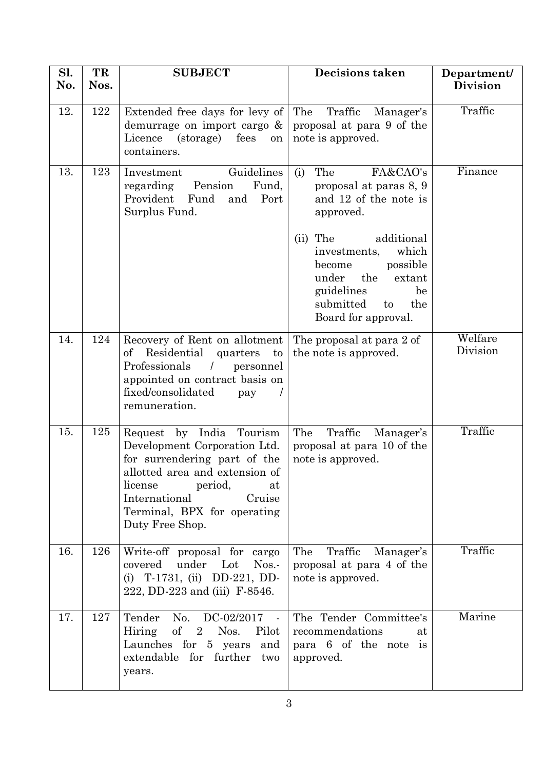| Sl.<br>No. | TR<br>Nos. | <b>SUBJECT</b>                                                                                                                                                                                                                      | <b>Decisions taken</b>                                                                                                                                                                                                                                            | Department/<br><b>Division</b> |
|------------|------------|-------------------------------------------------------------------------------------------------------------------------------------------------------------------------------------------------------------------------------------|-------------------------------------------------------------------------------------------------------------------------------------------------------------------------------------------------------------------------------------------------------------------|--------------------------------|
| 12.        | 122        | Extended free days for levy of<br>demurrage on import cargo &<br>Licence<br>(storage) fees<br>on<br>containers.                                                                                                                     | The<br>Traffic<br>Manager's<br>proposal at para 9 of the<br>note is approved.                                                                                                                                                                                     | Traffic                        |
| 13.        | 123        | Guidelines<br>Investment<br>Fund,<br>regarding<br>Pension<br>Provident Fund<br>Port<br>and<br>Surplus Fund.                                                                                                                         | The<br>FA&CAO's<br>(i)<br>proposal at paras 8, 9<br>and 12 of the note is<br>approved.<br>The<br>additional<br>(ii)<br>which<br>investments,<br>possible<br>become<br>under<br>the<br>extant<br>guidelines<br>be<br>submitted<br>the<br>to<br>Board for approval. | Finance                        |
| 14.        | 124        | Recovery of Rent on allotment<br>of Residential quarters to<br>Professionals<br>$\sqrt{2}$<br>personnel<br>appointed on contract basis on<br>fixed/consolidated<br>pay<br>remuneration.                                             | The proposal at para 2 of<br>the note is approved.                                                                                                                                                                                                                | Welfare<br>Division            |
| 15.        | 125        | Request by India Tourism<br>Development Corporation Ltd.<br>for surrendering part of the<br>allotted area and extension of<br>period,<br>license<br>at<br>International<br>Cruise<br>Terminal, BPX for operating<br>Duty Free Shop. | The<br>Traffic<br>Manager's<br>proposal at para 10 of the<br>note is approved.                                                                                                                                                                                    | Traffic                        |
| 16.        | 126        | Write-off proposal for cargo<br>covered<br>under<br>Lot<br>$N$ <sub>0s.</sub> -<br>(i) T-1731, (ii) DD-221, DD-<br>222, DD-223 and (iii) F-8546.                                                                                    | The<br>Traffic<br>Manager's<br>proposal at para 4 of the<br>note is approved.                                                                                                                                                                                     | Traffic                        |
| 17.        | 127        | Tender<br>No. DC-02/2017<br>$\sim$<br>$of \quad 2$<br>Hiring<br>Nos.<br>Pilot<br>Launches for 5 years<br>and<br>extendable for further two<br>years.                                                                                | The Tender Committee's<br>recommendations<br>at<br>para 6 of the note is<br>approved.                                                                                                                                                                             | Marine                         |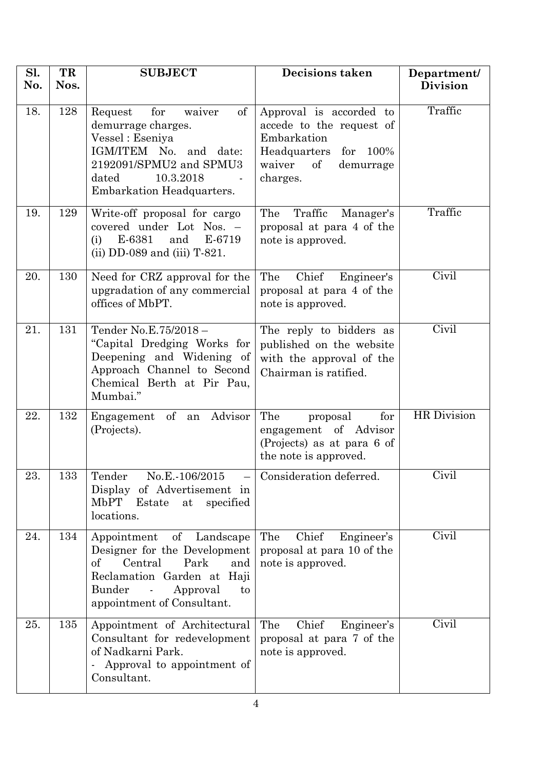| Sl.<br>No. | TR<br>Nos. | <b>SUBJECT</b>                                                                                                                                                                                                         | <b>Decisions taken</b>                                                                                                                     | Department/<br><b>Division</b> |
|------------|------------|------------------------------------------------------------------------------------------------------------------------------------------------------------------------------------------------------------------------|--------------------------------------------------------------------------------------------------------------------------------------------|--------------------------------|
| 18.        | 128        | waiver<br><sub>of</sub><br>for<br>Request<br>demurrage charges.<br>Vessel: Eseniya<br>IGM/ITEM No.<br>and<br>date:<br>2192091/SPMU2 and SPMU3<br>10.3.2018<br>dated<br>Embarkation Headquarters.                       | Approval is accorded to<br>accede to the request of<br>Embarkation<br>for<br>Headquarters<br>100%<br>waiver<br>of<br>demurrage<br>charges. | Traffic                        |
| 19.        | 129        | Write-off proposal for cargo<br>covered under Lot Nos. -<br>E-6381<br>E-6719<br>and<br>(i)<br>(ii) DD-089 and (iii) T-821.                                                                                             | The<br>Traffic<br>Manager's<br>proposal at para 4 of the<br>note is approved.                                                              | Traffic                        |
| 20.        | 130        | Need for CRZ approval for the<br>upgradation of any commercial<br>offices of MbPT.                                                                                                                                     | Engineer's<br>The<br>Chief<br>proposal at para 4 of the<br>note is approved.                                                               | Civil                          |
| 21.        | 131        | Tender No.E.75/2018-<br>"Capital Dredging Works for<br>Deepening and Widening of<br>Approach Channel to Second<br>Chemical Berth at Pir Pau,<br>Mumbai."                                                               | The reply to bidders as<br>published on the website<br>with the approval of the<br>Chairman is ratified.                                   | Civil                          |
| 22.        | 132        | Engagement of<br>Advisor<br>an<br>(Projects).                                                                                                                                                                          | The<br>for<br>proposal<br>engagement of Advisor<br>(Projects) as at para 6 of<br>the note is approved.                                     | <b>HR</b> Division             |
| 23.        | 133        | Tender<br>No.E.-106/2015<br>Display of Advertisement in<br>MbPT<br>Estate<br>specified<br>at<br>locations.                                                                                                             | Consideration deferred.                                                                                                                    | Civil                          |
| 24.        | 134        | of Landscape<br>Appointment<br>Designer for the Development<br>Central<br>of<br>Park<br>and<br>Reclamation Garden at Haji<br><b>Bunder</b><br>Approval<br>to<br>$\overline{\phantom{a}}$<br>appointment of Consultant. | The<br>Chief<br>Engineer's<br>proposal at para 10 of the<br>note is approved.                                                              | Civil                          |
| 25.        | 135        | Appointment of Architectural<br>Consultant for redevelopment<br>of Nadkarni Park.<br>- Approval to appointment of<br>Consultant.                                                                                       | Chief<br>Engineer's<br>The<br>proposal at para 7 of the<br>note is approved.                                                               | Civil                          |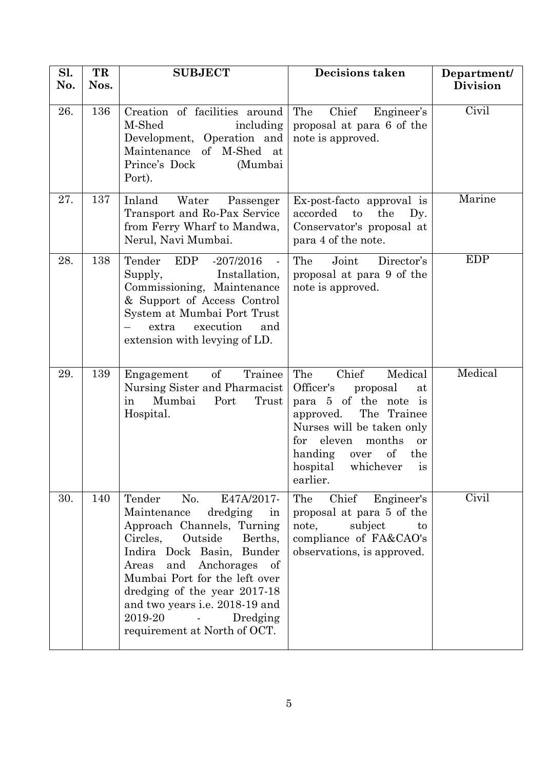| Sl.<br>No. | TR<br>Nos. | <b>SUBJECT</b>                                                                                                                                                                                                                                                                                                                                       | Decisions taken                                                                                                                                                                                                                                   | Department/<br><b>Division</b> |
|------------|------------|------------------------------------------------------------------------------------------------------------------------------------------------------------------------------------------------------------------------------------------------------------------------------------------------------------------------------------------------------|---------------------------------------------------------------------------------------------------------------------------------------------------------------------------------------------------------------------------------------------------|--------------------------------|
| 26.        | 136        | Creation of facilities around<br>M-Shed<br>including<br>Development, Operation and<br>of M-Shed at<br>Maintenance<br>Prince's Dock<br>(Mumbai<br>Port).                                                                                                                                                                                              | Chief<br>The<br>Engineer's<br>proposal at para 6 of the<br>note is approved.                                                                                                                                                                      | Civil                          |
| 27.        | 137        | Inland<br>Water<br>Passenger<br>Transport and Ro-Pax Service<br>from Ferry Wharf to Mandwa,<br>Nerul, Navi Mumbai.                                                                                                                                                                                                                                   | Ex-post-facto approval is<br>accorded<br>$\mathop{\mathrm{to}}$<br>the<br>Dy.<br>Conservator's proposal at<br>para 4 of the note.                                                                                                                 | Marine                         |
| 28.        | 138        | EDP<br>Tender<br>$-207/2016$<br>$\blacksquare$<br>Installation,<br>Supply,<br>Commissioning, Maintenance<br>& Support of Access Control<br>System at Mumbai Port Trust<br>execution<br>extra<br>and<br>extension with levying of LD.                                                                                                                 | The<br>Joint<br>Director's<br>proposal at para 9 of the<br>note is approved.                                                                                                                                                                      | <b>EDP</b>                     |
| 29.        | 139        | of<br>Trainee<br>Engagement<br>Nursing Sister and Pharmacist<br>Mumbai<br>Port<br>Trust<br>in<br>Hospital.                                                                                                                                                                                                                                           | Chief<br>The<br>Medical<br>Officer's<br>proposal<br>at<br>para 5 of the note is<br>The Trainee<br>approved.<br>Nurses will be taken only<br>for eleven<br>months<br>or<br>handing<br>of<br>the<br>over<br>hospital<br>whichever<br>is<br>earlier. | Medical                        |
| 30.        | 140        | Tender<br>No.<br>E47A/2017-<br>Maintenance<br>dredging in<br>Approach Channels, Turning<br>Circles,<br>Outside<br>Berths,<br>Indira Dock Basin, Bunder<br>Anchorages<br>Areas<br>and<br>of<br>Mumbai Port for the left over<br>dredging of the year 2017-18<br>and two years i.e. 2018-19 and<br>2019-20<br>Dredging<br>requirement at North of OCT. | Chief<br>The<br>Engineer's<br>proposal at para 5 of the<br>note,<br>subject<br>to<br>compliance of FA&CAO's<br>observations, is approved.                                                                                                         | Civil                          |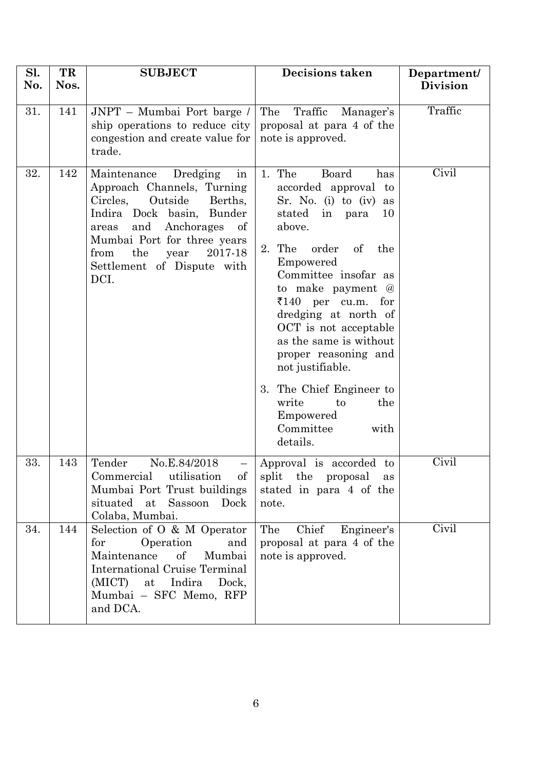| Sl.<br>No. | TR<br>Nos. | <b>SUBJECT</b>                                                                                                                                                                                                                                                     | Decisions taken                                                                                                                                                                                                                                                                                                                                                                                                                                                          | Department/<br><b>Division</b> |
|------------|------------|--------------------------------------------------------------------------------------------------------------------------------------------------------------------------------------------------------------------------------------------------------------------|--------------------------------------------------------------------------------------------------------------------------------------------------------------------------------------------------------------------------------------------------------------------------------------------------------------------------------------------------------------------------------------------------------------------------------------------------------------------------|--------------------------------|
|            |            |                                                                                                                                                                                                                                                                    |                                                                                                                                                                                                                                                                                                                                                                                                                                                                          |                                |
| 31.        | 141        | JNPT – Mumbai Port barge /<br>ship operations to reduce city<br>congestion and create value for<br>trade.                                                                                                                                                          | The<br>Traffic<br>Manager's<br>proposal at para 4 of the<br>note is approved.                                                                                                                                                                                                                                                                                                                                                                                            | Traffic                        |
| 32.        | 142        | Dredging<br>Maintenance<br>in<br>Approach Channels, Turning<br>Circles,<br>Outside<br>Berths,<br>Indira Dock basin, Bunder<br>and<br>Anchorages of<br>areas<br>Mumbai Port for three years<br>the<br>2017-18<br>from<br>year<br>Settlement of Dispute with<br>DCI. | 1. The<br>Board<br>has<br>accorded approval to<br>Sr. No. (i) to $(iv)$<br>as<br>stated<br>in para<br>10<br>above.<br>2. The<br>order<br>of<br>the<br>Empowered<br>Committee insofar as<br>to make payment @<br>$\overline{\xi}140$ per cu.m. for<br>dredging at north of<br>OCT is not acceptable<br>as the same is without<br>proper reasoning and<br>not justifiable.<br>3. The Chief Engineer to<br>write<br>to<br>the<br>Empowered<br>Committee<br>with<br>details. | Civil                          |
| 33.        | 143        | Tender<br>No.E.84/2018<br>Commercial<br>utilisation<br>ΟÌ<br>Mumbai Port Trust buildings<br>situated at Sassoon Dock<br>Colaba, Mumbai.                                                                                                                            | Approval is accorded to<br>split the proposal<br>as<br>stated in para 4 of the<br>note.                                                                                                                                                                                                                                                                                                                                                                                  | Civil                          |
| 34.        | 144        | Selection of O & M Operator<br>Operation<br>for<br>and<br>$\sigma f$<br>Mumbai<br>Maintenance<br><b>International Cruise Terminal</b><br>(MICT)<br>at Indira<br>Dock,<br>Mumbai - SFC Memo, RFP<br>and DCA.                                                        | The<br>Chief<br>Engineer's<br>proposal at para 4 of the<br>note is approved.                                                                                                                                                                                                                                                                                                                                                                                             | Civil                          |